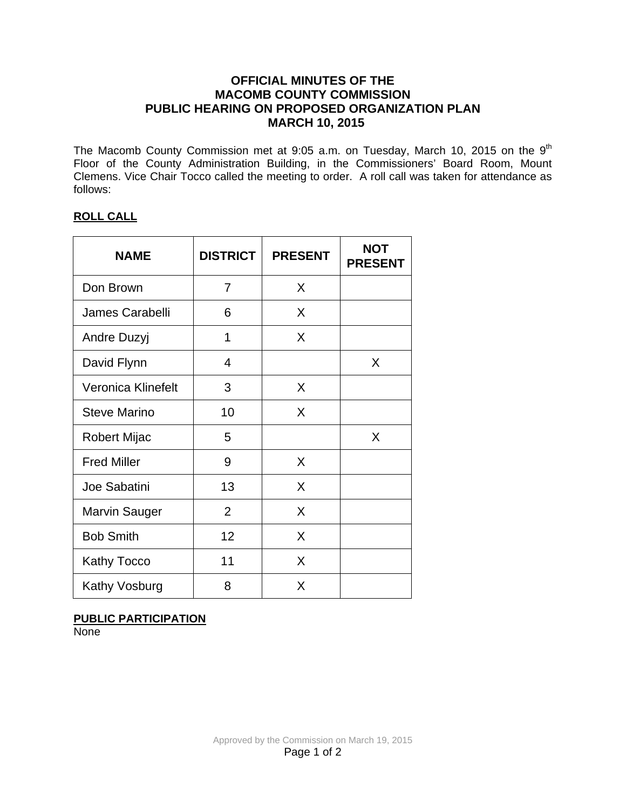## **OFFICIAL MINUTES OF THE MACOMB COUNTY COMMISSION PUBLIC HEARING ON PROPOSED ORGANIZATION PLAN MARCH 10, 2015**

The Macomb County Commission met at 9:05 a.m. on Tuesday, March 10, 2015 on the 9<sup>th</sup> Floor of the County Administration Building, in the Commissioners' Board Room, Mount Clemens. Vice Chair Tocco called the meeting to order. A roll call was taken for attendance as follows:

### **ROLL CALL**

| <b>NAME</b>            | <b>DISTRICT</b> | <b>PRESENT</b> | <b>NOT</b><br><b>PRESENT</b> |
|------------------------|-----------------|----------------|------------------------------|
| Don Brown              | 7               | X              |                              |
| <b>James Carabelli</b> | 6               | X              |                              |
| Andre Duzyj            | 1               | X              |                              |
| David Flynn            | 4               |                | X                            |
| Veronica Klinefelt     | 3               | X              |                              |
| <b>Steve Marino</b>    | 10              | X              |                              |
| Robert Mijac           | 5               |                | X                            |
| <b>Fred Miller</b>     | 9               | X              |                              |
| Joe Sabatini           | 13              | X              |                              |
| Marvin Sauger          | $\overline{2}$  | X              |                              |
| <b>Bob Smith</b>       | 12              | X              |                              |
| <b>Kathy Tocco</b>     | 11              | X              |                              |
| Kathy Vosburg          | 8               | X              |                              |

### **PUBLIC PARTICIPATION**

**None**